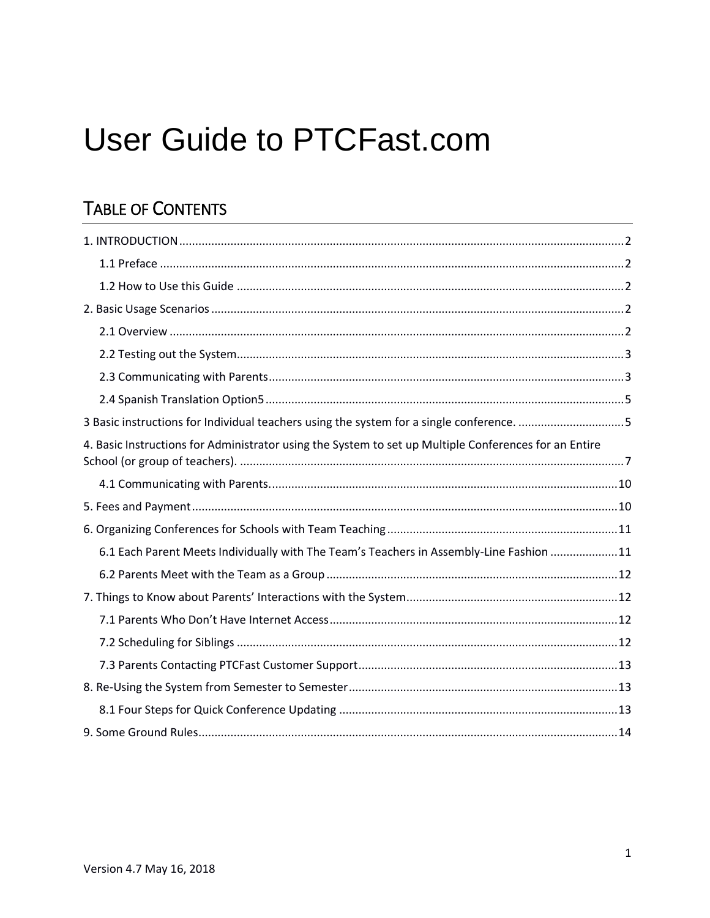# **User Guide to PTCFast.com**

# **TABLE OF CONTENTS**

| 3 Basic instructions for Individual teachers using the system for a single conference. 5              |
|-------------------------------------------------------------------------------------------------------|
| 4. Basic Instructions for Administrator using the System to set up Multiple Conferences for an Entire |
|                                                                                                       |
|                                                                                                       |
|                                                                                                       |
| 6.1 Each Parent Meets Individually with The Team's Teachers in Assembly-Line Fashion 11               |
|                                                                                                       |
|                                                                                                       |
|                                                                                                       |
|                                                                                                       |
|                                                                                                       |
|                                                                                                       |
|                                                                                                       |
|                                                                                                       |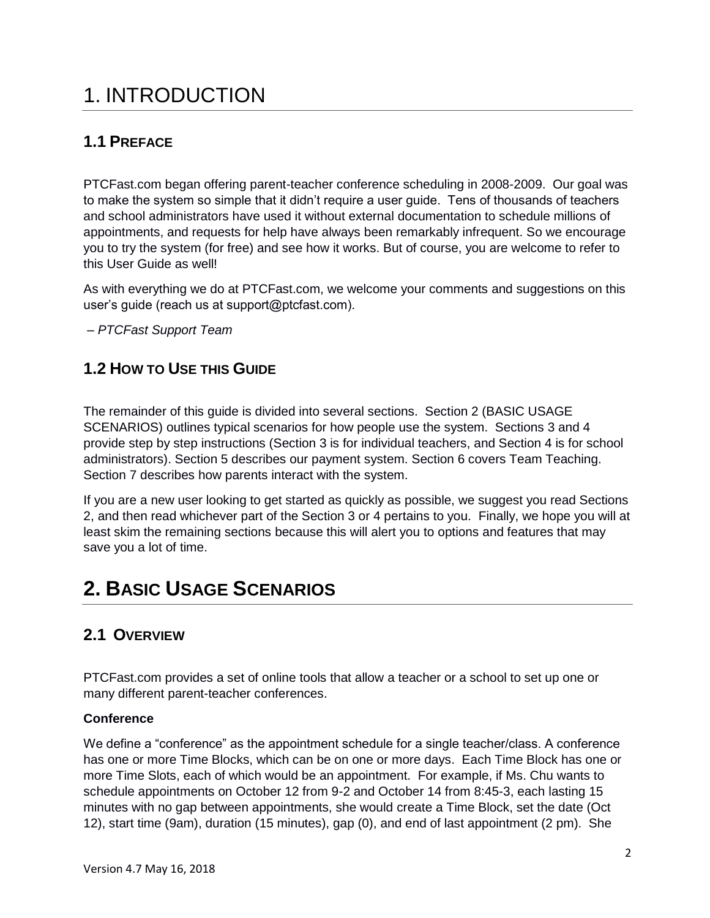# <span id="page-1-0"></span>1. INTRODUCTION

### <span id="page-1-1"></span>**1.1 PREFACE**

PTCFast.com began offering parent-teacher conference scheduling in 2008-2009. Our goal was to make the system so simple that it didn't require a user guide. Tens of thousands of teachers and school administrators have used it without external documentation to schedule millions of appointments, and requests for help have always been remarkably infrequent. So we encourage you to try the system (for free) and see how it works. But of course, you are welcome to refer to this User Guide as well!

As with everything we do at PTCFast.com, we welcome your comments and suggestions on this user's guide (reach us at support@ptcfast.com).

– *PTCFast Support Team*

### <span id="page-1-2"></span>**1.2 HOW TO USE THIS GUIDE**

The remainder of this guide is divided into several sections. Section 2 (BASIC USAGE SCENARIOS) outlines typical scenarios for how people use the system. Sections 3 and 4 provide step by step instructions (Section 3 is for individual teachers, and Section 4 is for school administrators). Section 5 describes our payment system. Section 6 covers Team Teaching. Section 7 describes how parents interact with the system.

If you are a new user looking to get started as quickly as possible, we suggest you read Sections 2, and then read whichever part of the Section 3 or 4 pertains to you. Finally, we hope you will at least skim the remaining sections because this will alert you to options and features that may save you a lot of time.

# <span id="page-1-3"></span>**2. BASIC USAGE SCENARIOS**

### <span id="page-1-4"></span>**2.1 OVERVIEW**

PTCFast.com provides a set of online tools that allow a teacher or a school to set up one or many different parent-teacher conferences.

#### **Conference**

We define a "conference" as the appointment schedule for a single teacher/class. A conference has one or more Time Blocks, which can be on one or more days. Each Time Block has one or more Time Slots, each of which would be an appointment. For example, if Ms. Chu wants to schedule appointments on October 12 from 9-2 and October 14 from 8:45-3, each lasting 15 minutes with no gap between appointments, she would create a Time Block, set the date (Oct 12), start time (9am), duration (15 minutes), gap (0), and end of last appointment (2 pm). She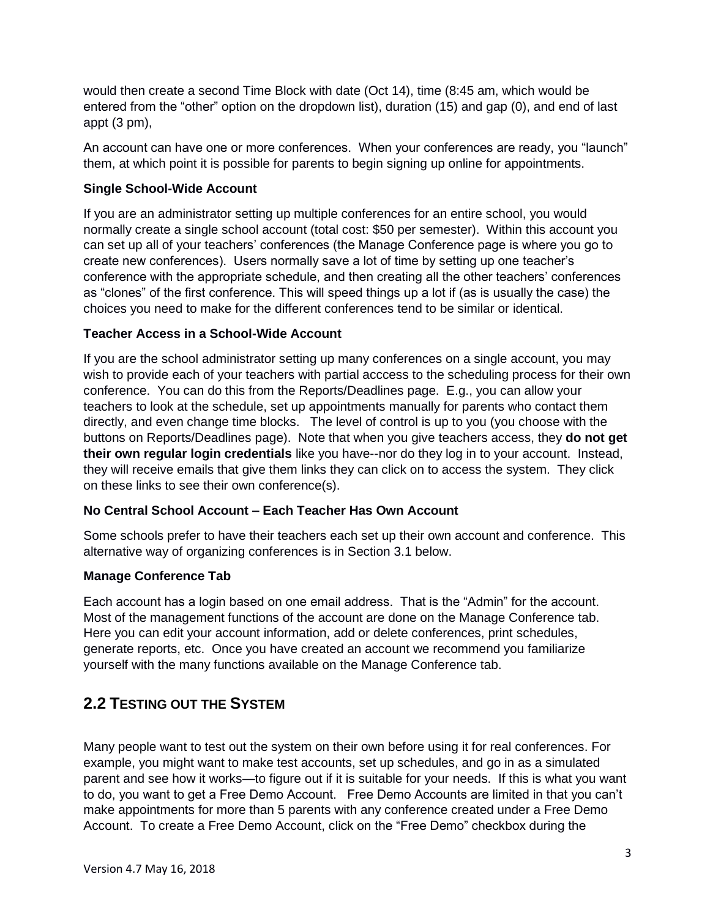would then create a second Time Block with date (Oct 14), time (8:45 am, which would be entered from the "other" option on the dropdown list), duration (15) and gap (0), and end of last appt (3 pm),

An account can have one or more conferences. When your conferences are ready, you "launch" them, at which point it is possible for parents to begin signing up online for appointments.

#### **Single School-Wide Account**

If you are an administrator setting up multiple conferences for an entire school, you would normally create a single school account (total cost: \$50 per semester). Within this account you can set up all of your teachers' conferences (the Manage Conference page is where you go to create new conferences). Users normally save a lot of time by setting up one teacher's conference with the appropriate schedule, and then creating all the other teachers' conferences as "clones" of the first conference. This will speed things up a lot if (as is usually the case) the choices you need to make for the different conferences tend to be similar or identical.

#### **Teacher Access in a School-Wide Account**

If you are the school administrator setting up many conferences on a single account, you may wish to provide each of your teachers with partial acccess to the scheduling process for their own conference. You can do this from the Reports/Deadlines page. E.g., you can allow your teachers to look at the schedule, set up appointments manually for parents who contact them directly, and even change time blocks. The level of control is up to you (you choose with the buttons on Reports/Deadlines page). Note that when you give teachers access, they **do not get their own regular login credentials** like you have--nor do they log in to your account. Instead, they will receive emails that give them links they can click on to access the system. They click on these links to see their own conference(s).

#### **No Central School Account – Each Teacher Has Own Account**

Some schools prefer to have their teachers each set up their own account and conference. This alternative way of organizing conferences is in Section 3.1 below.

#### **Manage Conference Tab**

Each account has a login based on one email address. That is the "Admin" for the account. Most of the management functions of the account are done on the Manage Conference tab. Here you can edit your account information, add or delete conferences, print schedules, generate reports, etc. Once you have created an account we recommend you familiarize yourself with the many functions available on the Manage Conference tab.

#### <span id="page-2-0"></span>**2.2 TESTING OUT THE SYSTEM**

Many people want to test out the system on their own before using it for real conferences. For example, you might want to make test accounts, set up schedules, and go in as a simulated parent and see how it works—to figure out if it is suitable for your needs. If this is what you want to do, you want to get a Free Demo Account. Free Demo Accounts are limited in that you can't make appointments for more than 5 parents with any conference created under a Free Demo Account. To create a Free Demo Account, click on the "Free Demo" checkbox during the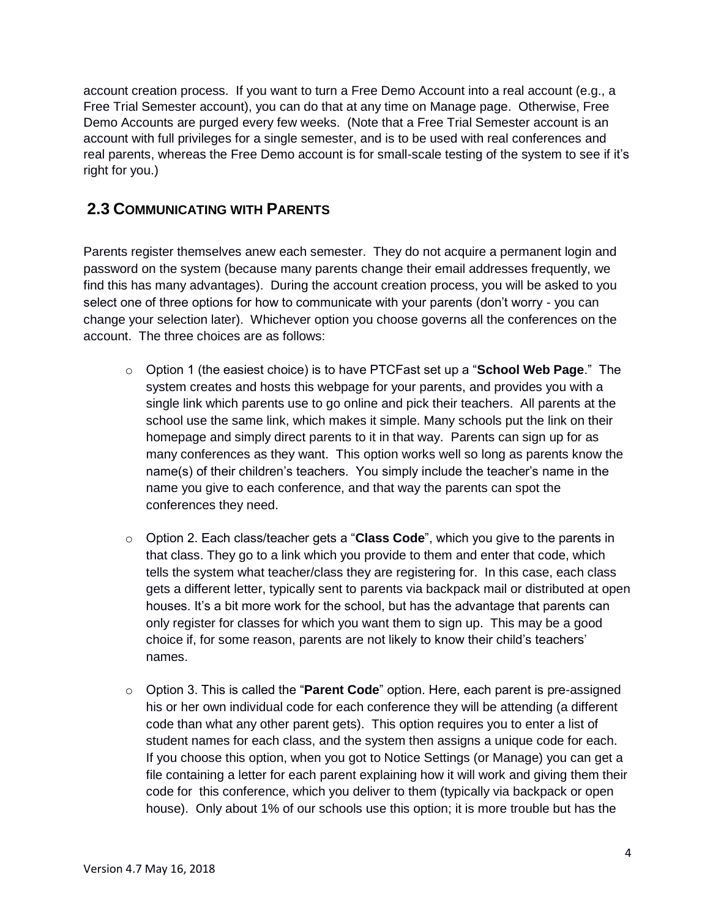account creation process. If you want to turn a Free Demo Account into a real account (e.g., a Free Trial Semester account), you can do that at any time on Manage page. Otherwise, Free Demo Accounts are purged every few weeks. (Note that a Free Trial Semester account is an account with full privileges for a single semester, and is to be used with real conferences and real parents, whereas the Free Demo account is for small-scale testing of the system to see if it's right for you.)

#### <span id="page-3-0"></span>**2.3 COMMUNICATING WITH PARENTS**

Parents register themselves anew each semester. They do not acquire a permanent login and password on the system (because many parents change their email addresses frequently, we find this has many advantages). During the account creation process, you will be asked to you select one of three options for how to communicate with your parents (don't worry - you can change your selection later). Whichever option you choose governs all the conferences on the account. The three choices are as follows:

- o Option 1 (the easiest choice) is to have PTCFast set up a "**School Web Page**." The system creates and hosts this webpage for your parents, and provides you with a single link which parents use to go online and pick their teachers. All parents at the school use the same link, which makes it simple. Many schools put the link on their homepage and simply direct parents to it in that way. Parents can sign up for as many conferences as they want. This option works well so long as parents know the name(s) of their children's teachers. You simply include the teacher's name in the name you give to each conference, and that way the parents can spot the conferences they need.
- o Option 2. Each class/teacher gets a "**Class Code**", which you give to the parents in that class. They go to a link which you provide to them and enter that code, which tells the system what teacher/class they are registering for. In this case, each class gets a different letter, typically sent to parents via backpack mail or distributed at open houses. It's a bit more work for the school, but has the advantage that parents can only register for classes for which you want them to sign up. This may be a good choice if, for some reason, parents are not likely to know their child's teachers' names.
- o Option 3. This is called the "**Parent Code**" option. Here, each parent is pre-assigned his or her own individual code for each conference they will be attending (a different code than what any other parent gets). This option requires you to enter a list of student names for each class, and the system then assigns a unique code for each. If you choose this option, when you got to Notice Settings (or Manage) you can get a file containing a letter for each parent explaining how it will work and giving them their code for this conference, which you deliver to them (typically via backpack or open house). Only about 1% of our schools use this option; it is more trouble but has the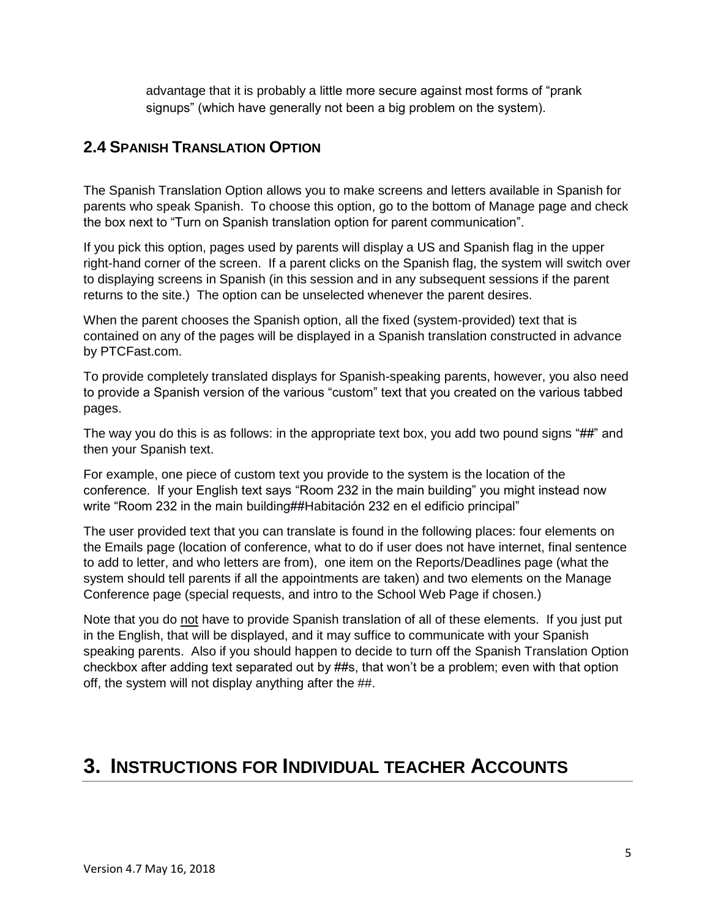advantage that it is probably a little more secure against most forms of "prank signups" (which have generally not been a big problem on the system).

### **2.4 SPANISH TRANSLATION OPTION**

The Spanish Translation Option allows you to make screens and letters available in Spanish for parents who speak Spanish. To choose this option, go to the bottom of Manage page and check the box next to "Turn on Spanish translation option for parent communication".

If you pick this option, pages used by parents will display a US and Spanish flag in the upper right-hand corner of the screen. If a parent clicks on the Spanish flag, the system will switch over to displaying screens in Spanish (in this session and in any subsequent sessions if the parent returns to the site.) The option can be unselected whenever the parent desires.

When the parent chooses the Spanish option, all the fixed (system-provided) text that is contained on any of the pages will be displayed in a Spanish translation constructed in advance by PTCFast.com.

To provide completely translated displays for Spanish-speaking parents, however, you also need to provide a Spanish version of the various "custom" text that you created on the various tabbed pages.

The way you do this is as follows: in the appropriate text box, you add two pound signs "##" and then your Spanish text.

For example, one piece of custom text you provide to the system is the location of the conference. If your English text says "Room 232 in the main building" you might instead now write "Room 232 in the main building##Habitación 232 en el edificio principal"

The user provided text that you can translate is found in the following places: four elements on the Emails page (location of conference, what to do if user does not have internet, final sentence to add to letter, and who letters are from), one item on the Reports/Deadlines page (what the system should tell parents if all the appointments are taken) and two elements on the Manage Conference page (special requests, and intro to the School Web Page if chosen.)

Note that you do not have to provide Spanish translation of all of these elements. If you just put in the English, that will be displayed, and it may suffice to communicate with your Spanish speaking parents. Also if you should happen to decide to turn off the Spanish Translation Option checkbox after adding text separated out by ##s, that won't be a problem; even with that option off, the system will not display anything after the ##.

### <span id="page-4-0"></span>**3. INSTRUCTIONS FOR INDIVIDUAL TEACHER ACCOUNTS**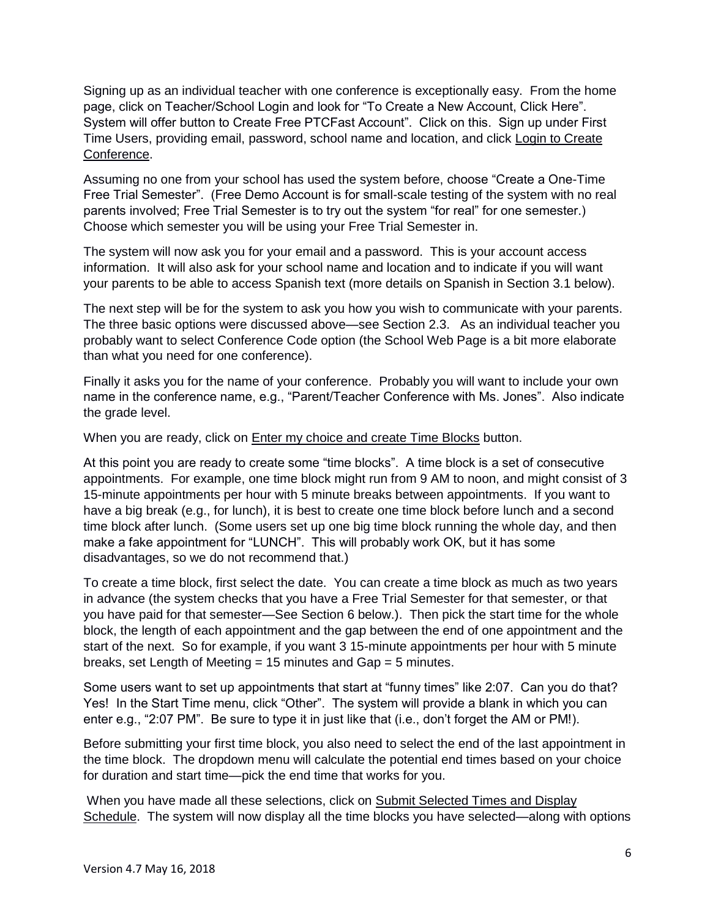Signing up as an individual teacher with one conference is exceptionally easy. From the home page, click on Teacher/School Login and look for "To Create a New Account, Click Here". System will offer button to Create Free PTCFast Account". Click on this. Sign up under First Time Users, providing email, password, school name and location, and click Login to Create Conference.

Assuming no one from your school has used the system before, choose "Create a One-Time Free Trial Semester". (Free Demo Account is for small-scale testing of the system with no real parents involved; Free Trial Semester is to try out the system "for real" for one semester.) Choose which semester you will be using your Free Trial Semester in.

The system will now ask you for your email and a password. This is your account access information. It will also ask for your school name and location and to indicate if you will want your parents to be able to access Spanish text (more details on Spanish in Section 3.1 below).

The next step will be for the system to ask you how you wish to communicate with your parents. The three basic options were discussed above—see Section 2.3. As an individual teacher you probably want to select Conference Code option (the School Web Page is a bit more elaborate than what you need for one conference).

Finally it asks you for the name of your conference. Probably you will want to include your own name in the conference name, e.g., "Parent/Teacher Conference with Ms. Jones". Also indicate the grade level.

When you are ready, click on **Enter my choice and create Time Blocks** button.

At this point you are ready to create some "time blocks". A time block is a set of consecutive appointments. For example, one time block might run from 9 AM to noon, and might consist of 3 15-minute appointments per hour with 5 minute breaks between appointments. If you want to have a big break (e.g., for lunch), it is best to create one time block before lunch and a second time block after lunch. (Some users set up one big time block running the whole day, and then make a fake appointment for "LUNCH". This will probably work OK, but it has some disadvantages, so we do not recommend that.)

To create a time block, first select the date. You can create a time block as much as two years in advance (the system checks that you have a Free Trial Semester for that semester, or that you have paid for that semester—See Section 6 below.). Then pick the start time for the whole block, the length of each appointment and the gap between the end of one appointment and the start of the next. So for example, if you want 3 15-minute appointments per hour with 5 minute breaks, set Length of Meeting = 15 minutes and Gap = 5 minutes.

Some users want to set up appointments that start at "funny times" like 2:07. Can you do that? Yes! In the Start Time menu, click "Other". The system will provide a blank in which you can enter e.g., "2:07 PM". Be sure to type it in just like that (i.e., don't forget the AM or PM!).

Before submitting your first time block, you also need to select the end of the last appointment in the time block. The dropdown menu will calculate the potential end times based on your choice for duration and start time—pick the end time that works for you.

When you have made all these selections, click on Submit Selected Times and Display Schedule. The system will now display all the time blocks you have selected—along with options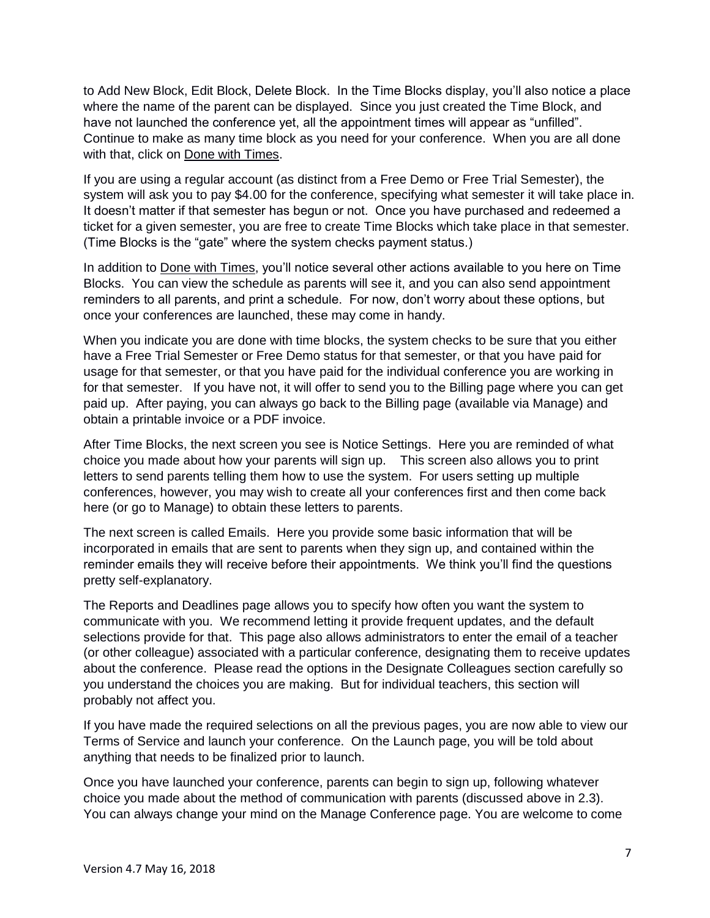to Add New Block, Edit Block, Delete Block. In the Time Blocks display, you'll also notice a place where the name of the parent can be displayed. Since you just created the Time Block, and have not launched the conference yet, all the appointment times will appear as "unfilled". Continue to make as many time block as you need for your conference. When you are all done with that, click on Done with Times.

If you are using a regular account (as distinct from a Free Demo or Free Trial Semester), the system will ask you to pay \$4.00 for the conference, specifying what semester it will take place in. It doesn't matter if that semester has begun or not. Once you have purchased and redeemed a ticket for a given semester, you are free to create Time Blocks which take place in that semester. (Time Blocks is the "gate" where the system checks payment status.)

In addition to Done with Times, you'll notice several other actions available to you here on Time Blocks. You can view the schedule as parents will see it, and you can also send appointment reminders to all parents, and print a schedule. For now, don't worry about these options, but once your conferences are launched, these may come in handy.

When you indicate you are done with time blocks, the system checks to be sure that you either have a Free Trial Semester or Free Demo status for that semester, or that you have paid for usage for that semester, or that you have paid for the individual conference you are working in for that semester. If you have not, it will offer to send you to the Billing page where you can get paid up. After paying, you can always go back to the Billing page (available via Manage) and obtain a printable invoice or a PDF invoice.

After Time Blocks, the next screen you see is Notice Settings. Here you are reminded of what choice you made about how your parents will sign up. This screen also allows you to print letters to send parents telling them how to use the system. For users setting up multiple conferences, however, you may wish to create all your conferences first and then come back here (or go to Manage) to obtain these letters to parents.

The next screen is called Emails. Here you provide some basic information that will be incorporated in emails that are sent to parents when they sign up, and contained within the reminder emails they will receive before their appointments. We think you'll find the questions pretty self-explanatory.

The Reports and Deadlines page allows you to specify how often you want the system to communicate with you. We recommend letting it provide frequent updates, and the default selections provide for that. This page also allows administrators to enter the email of a teacher (or other colleague) associated with a particular conference, designating them to receive updates about the conference. Please read the options in the Designate Colleagues section carefully so you understand the choices you are making. But for individual teachers, this section will probably not affect you.

If you have made the required selections on all the previous pages, you are now able to view our Terms of Service and launch your conference. On the Launch page, you will be told about anything that needs to be finalized prior to launch.

Once you have launched your conference, parents can begin to sign up, following whatever choice you made about the method of communication with parents (discussed above in 2.3). You can always change your mind on the Manage Conference page. You are welcome to come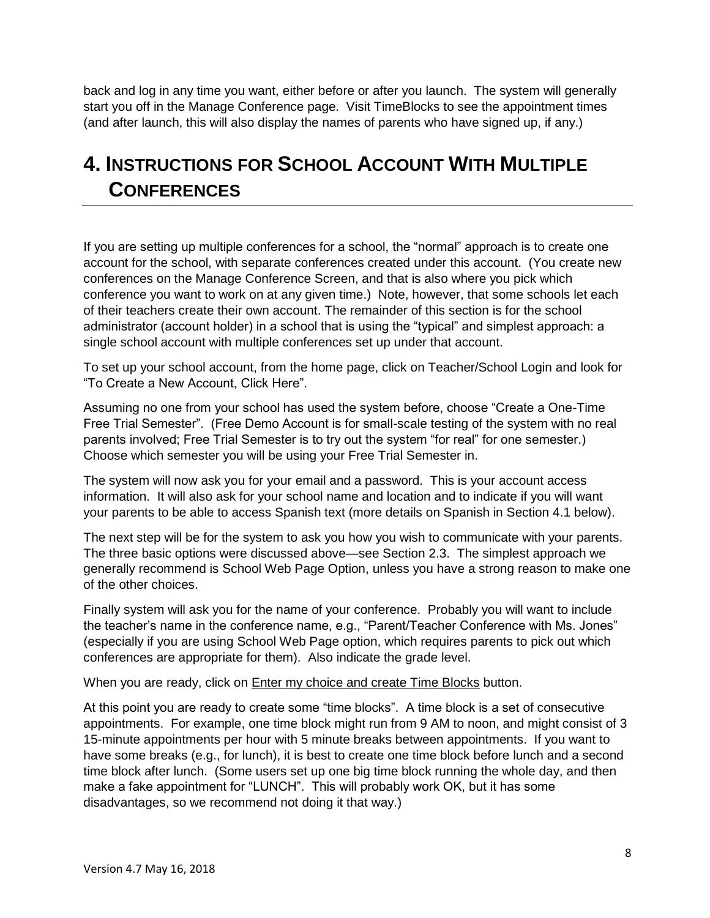back and log in any time you want, either before or after you launch. The system will generally start you off in the Manage Conference page. Visit TimeBlocks to see the appointment times (and after launch, this will also display the names of parents who have signed up, if any.)

# <span id="page-7-0"></span>**4. INSTRUCTIONS FOR SCHOOL ACCOUNT WITH MULTIPLE CONFERENCES**

If you are setting up multiple conferences for a school, the "normal" approach is to create one account for the school, with separate conferences created under this account. (You create new conferences on the Manage Conference Screen, and that is also where you pick which conference you want to work on at any given time.) Note, however, that some schools let each of their teachers create their own account. The remainder of this section is for the school administrator (account holder) in a school that is using the "typical" and simplest approach: a single school account with multiple conferences set up under that account.

To set up your school account, from the home page, click on Teacher/School Login and look for "To Create a New Account, Click Here".

Assuming no one from your school has used the system before, choose "Create a One-Time Free Trial Semester". (Free Demo Account is for small-scale testing of the system with no real parents involved; Free Trial Semester is to try out the system "for real" for one semester.) Choose which semester you will be using your Free Trial Semester in.

The system will now ask you for your email and a password. This is your account access information. It will also ask for your school name and location and to indicate if you will want your parents to be able to access Spanish text (more details on Spanish in Section 4.1 below).

The next step will be for the system to ask you how you wish to communicate with your parents. The three basic options were discussed above—see Section 2.3. The simplest approach we generally recommend is School Web Page Option, unless you have a strong reason to make one of the other choices.

Finally system will ask you for the name of your conference. Probably you will want to include the teacher's name in the conference name, e.g., "Parent/Teacher Conference with Ms. Jones" (especially if you are using School Web Page option, which requires parents to pick out which conferences are appropriate for them). Also indicate the grade level.

When you are ready, click on **Enter my choice and create Time Blocks** button.

At this point you are ready to create some "time blocks". A time block is a set of consecutive appointments. For example, one time block might run from 9 AM to noon, and might consist of 3 15-minute appointments per hour with 5 minute breaks between appointments. If you want to have some breaks (e.g., for lunch), it is best to create one time block before lunch and a second time block after lunch. (Some users set up one big time block running the whole day, and then make a fake appointment for "LUNCH". This will probably work OK, but it has some disadvantages, so we recommend not doing it that way.)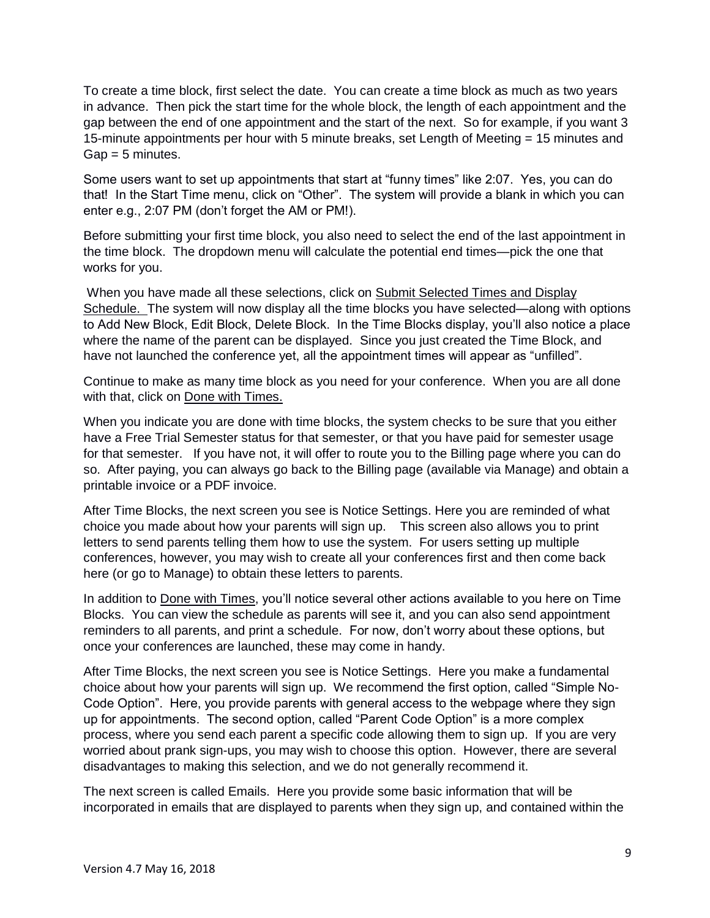To create a time block, first select the date. You can create a time block as much as two years in advance. Then pick the start time for the whole block, the length of each appointment and the gap between the end of one appointment and the start of the next. So for example, if you want 3 15-minute appointments per hour with 5 minute breaks, set Length of Meeting = 15 minutes and  $G$ ap = 5 minutes.

Some users want to set up appointments that start at "funny times" like 2:07. Yes, you can do that! In the Start Time menu, click on "Other". The system will provide a blank in which you can enter e.g., 2:07 PM (don't forget the AM or PM!).

Before submitting your first time block, you also need to select the end of the last appointment in the time block. The dropdown menu will calculate the potential end times—pick the one that works for you.

When you have made all these selections, click on Submit Selected Times and Display Schedule. The system will now display all the time blocks you have selected—along with options to Add New Block, Edit Block, Delete Block. In the Time Blocks display, you'll also notice a place where the name of the parent can be displayed. Since you just created the Time Block, and have not launched the conference yet, all the appointment times will appear as "unfilled".

Continue to make as many time block as you need for your conference. When you are all done with that, click on Done with Times.

When you indicate you are done with time blocks, the system checks to be sure that you either have a Free Trial Semester status for that semester, or that you have paid for semester usage for that semester. If you have not, it will offer to route you to the Billing page where you can do so. After paying, you can always go back to the Billing page (available via Manage) and obtain a printable invoice or a PDF invoice.

After Time Blocks, the next screen you see is Notice Settings. Here you are reminded of what choice you made about how your parents will sign up. This screen also allows you to print letters to send parents telling them how to use the system. For users setting up multiple conferences, however, you may wish to create all your conferences first and then come back here (or go to Manage) to obtain these letters to parents.

In addition to Done with Times, you'll notice several other actions available to you here on Time Blocks. You can view the schedule as parents will see it, and you can also send appointment reminders to all parents, and print a schedule. For now, don't worry about these options, but once your conferences are launched, these may come in handy.

After Time Blocks, the next screen you see is Notice Settings. Here you make a fundamental choice about how your parents will sign up. We recommend the first option, called "Simple No-Code Option". Here, you provide parents with general access to the webpage where they sign up for appointments. The second option, called "Parent Code Option" is a more complex process, where you send each parent a specific code allowing them to sign up. If you are very worried about prank sign-ups, you may wish to choose this option. However, there are several disadvantages to making this selection, and we do not generally recommend it.

The next screen is called Emails. Here you provide some basic information that will be incorporated in emails that are displayed to parents when they sign up, and contained within the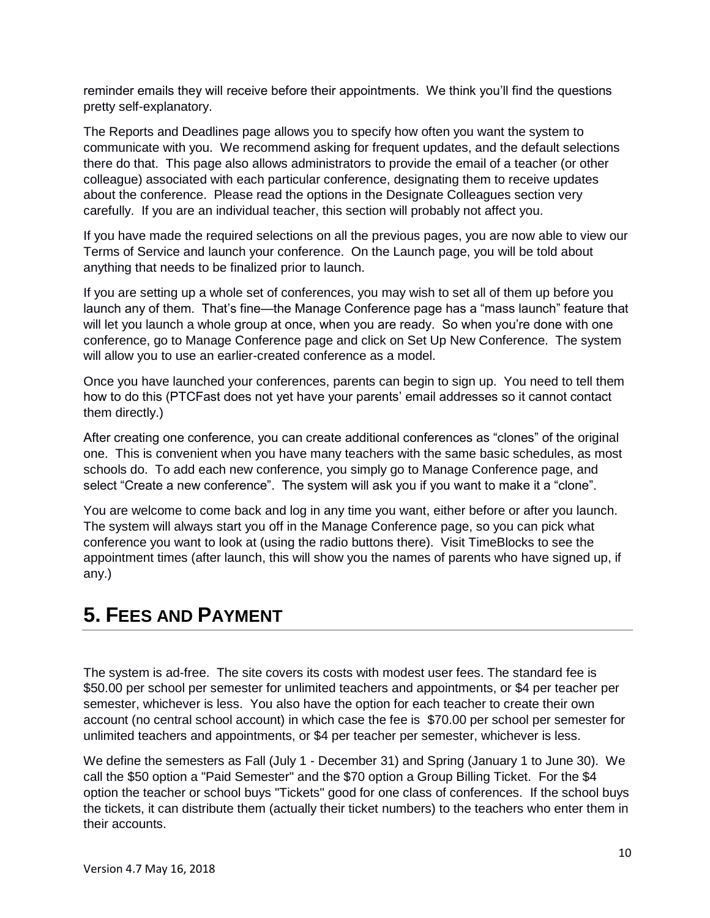reminder emails they will receive before their appointments. We think you'll find the questions pretty self-explanatory.

The Reports and Deadlines page allows you to specify how often you want the system to communicate with you. We recommend asking for frequent updates, and the default selections there do that. This page also allows administrators to provide the email of a teacher (or other colleague) associated with each particular conference, designating them to receive updates about the conference. Please read the options in the Designate Colleagues section very carefully. If you are an individual teacher, this section will probably not affect you.

If you have made the required selections on all the previous pages, you are now able to view our Terms of Service and launch your conference. On the Launch page, you will be told about anything that needs to be finalized prior to launch.

If you are setting up a whole set of conferences, you may wish to set all of them up before you launch any of them. That's fine—the Manage Conference page has a "mass launch" feature that will let you launch a whole group at once, when you are ready. So when you're done with one conference, go to Manage Conference page and click on Set Up New Conference. The system will allow you to use an earlier-created conference as a model.

Once you have launched your conferences, parents can begin to sign up. You need to tell them how to do this (PTCFast does not yet have your parents' email addresses so it cannot contact them directly.)

After creating one conference, you can create additional conferences as "clones" of the original one. This is convenient when you have many teachers with the same basic schedules, as most schools do. To add each new conference, you simply go to Manage Conference page, and select "Create a new conference". The system will ask you if you want to make it a "clone".

You are welcome to come back and log in any time you want, either before or after you launch. The system will always start you off in the Manage Conference page, so you can pick what conference you want to look at (using the radio buttons there). Visit TimeBlocks to see the appointment times (after launch, this will show you the names of parents who have signed up, if any.)

### <span id="page-9-0"></span>**5. FEES AND PAYMENT**

The system is ad-free. The site covers its costs with modest user fees. The standard fee is \$50.00 per school per semester for unlimited teachers and appointments, or \$4 per teacher per semester, whichever is less. You also have the option for each teacher to create their own account (no central school account) in which case the fee is \$70.00 per school per semester for unlimited teachers and appointments, or \$4 per teacher per semester, whichever is less.

We define the semesters as Fall (July 1 - December 31) and Spring (January 1 to June 30). We call the \$50 option a "Paid Semester" and the \$70 option a Group Billing Ticket. For the \$4 option the teacher or school buys "Tickets" good for one class of conferences. If the school buys the tickets, it can distribute them (actually their ticket numbers) to the teachers who enter them in their accounts.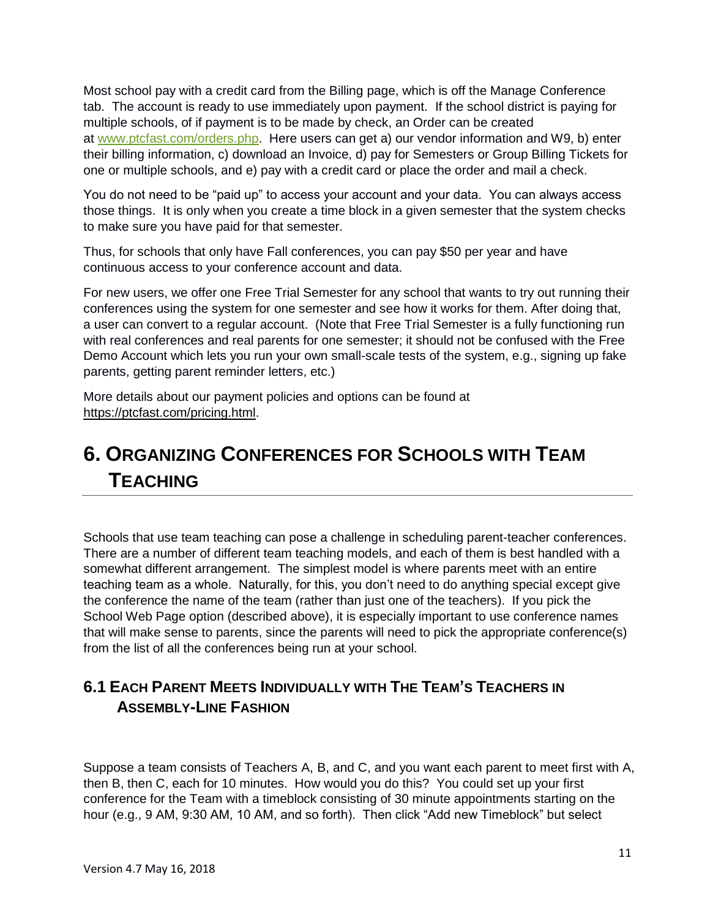Most school pay with a credit card from the Billing page, which is off the Manage Conference tab. The account is ready to use immediately upon payment. If the school district is paying for multiple schools, of if payment is to be made by check, an Order can be created at [www.ptcfast.com/orders.php.](http://www.ptcfast.com/orders.php) Here users can get a) our vendor information and W9, b) enter their billing information, c) download an Invoice, d) pay for Semesters or Group Billing Tickets for one or multiple schools, and e) pay with a credit card or place the order and mail a check.

You do not need to be "paid up" to access your account and your data. You can always access those things. It is only when you create a time block in a given semester that the system checks to make sure you have paid for that semester.

Thus, for schools that only have Fall conferences, you can pay \$50 per year and have continuous access to your conference account and data.

For new users, we offer one Free Trial Semester for any school that wants to try out running their conferences using the system for one semester and see how it works for them. After doing that, a user can convert to a regular account. (Note that Free Trial Semester is a fully functioning run with real conferences and real parents for one semester; it should not be confused with the Free Demo Account which lets you run your own small-scale tests of the system, e.g., signing up fake parents, getting parent reminder letters, etc.)

More details about our payment policies and options can be found at https://ptcfast.com/pricing.html.

# <span id="page-10-0"></span>**6. ORGANIZING CONFERENCES FOR SCHOOLS WITH TEAM TEACHING**

Schools that use team teaching can pose a challenge in scheduling parent-teacher conferences. There are a number of different team teaching models, and each of them is best handled with a somewhat different arrangement. The simplest model is where parents meet with an entire teaching team as a whole. Naturally, for this, you don't need to do anything special except give the conference the name of the team (rather than just one of the teachers). If you pick the School Web Page option (described above), it is especially important to use conference names that will make sense to parents, since the parents will need to pick the appropriate conference(s) from the list of all the conferences being run at your school.

### <span id="page-10-1"></span>**6.1 EACH PARENT MEETS INDIVIDUALLY WITH THE TEAM'S TEACHERS IN ASSEMBLY-LINE FASHION**

Suppose a team consists of Teachers A, B, and C, and you want each parent to meet first with A, then B, then C, each for 10 minutes. How would you do this? You could set up your first conference for the Team with a timeblock consisting of 30 minute appointments starting on the hour (e.g., 9 AM, 9:30 AM, 10 AM, and so forth). Then click "Add new Timeblock" but select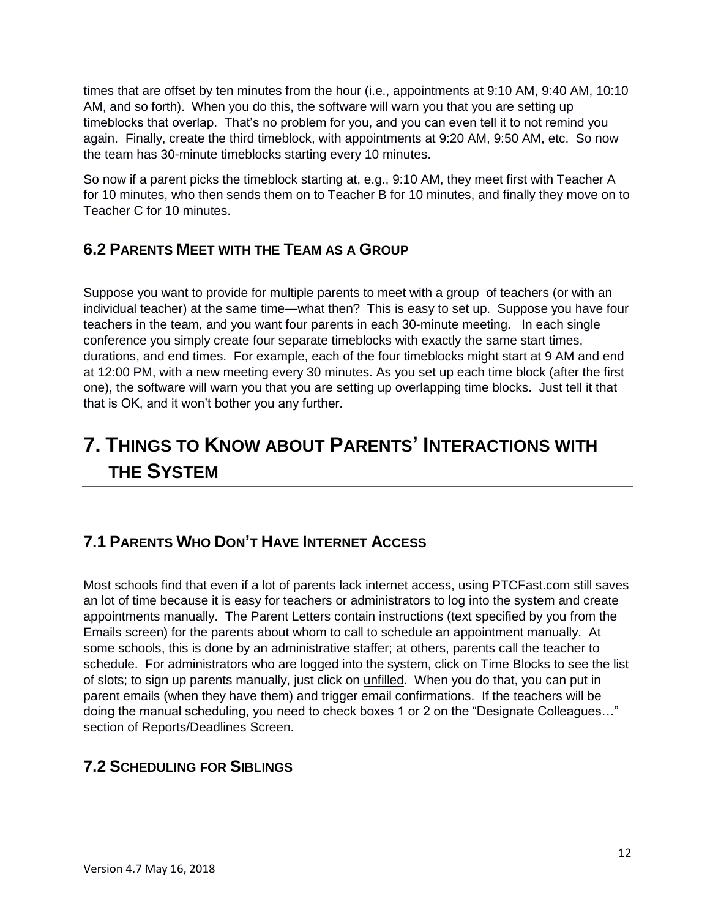times that are offset by ten minutes from the hour (i.e., appointments at 9:10 AM, 9:40 AM, 10:10 AM, and so forth). When you do this, the software will warn you that you are setting up timeblocks that overlap. That's no problem for you, and you can even tell it to not remind you again. Finally, create the third timeblock, with appointments at 9:20 AM, 9:50 AM, etc. So now the team has 30-minute timeblocks starting every 10 minutes.

So now if a parent picks the timeblock starting at, e.g., 9:10 AM, they meet first with Teacher A for 10 minutes, who then sends them on to Teacher B for 10 minutes, and finally they move on to Teacher C for 10 minutes.

### <span id="page-11-0"></span>**6.2 PARENTS MEET WITH THE TEAM AS A GROUP**

Suppose you want to provide for multiple parents to meet with a group of teachers (or with an individual teacher) at the same time—what then? This is easy to set up. Suppose you have four teachers in the team, and you want four parents in each 30-minute meeting. In each single conference you simply create four separate timeblocks with exactly the same start times, durations, and end times. For example, each of the four timeblocks might start at 9 AM and end at 12:00 PM, with a new meeting every 30 minutes. As you set up each time block (after the first one), the software will warn you that you are setting up overlapping time blocks. Just tell it that that is OK, and it won't bother you any further.

# <span id="page-11-1"></span>**7. THINGS TO KNOW ABOUT PARENTS' INTERACTIONS WITH THE SYSTEM**

### <span id="page-11-2"></span>**7.1 PARENTS WHO DON'T HAVE INTERNET ACCESS**

Most schools find that even if a lot of parents lack internet access, using PTCFast.com still saves an lot of time because it is easy for teachers or administrators to log into the system and create appointments manually. The Parent Letters contain instructions (text specified by you from the Emails screen) for the parents about whom to call to schedule an appointment manually. At some schools, this is done by an administrative staffer; at others, parents call the teacher to schedule. For administrators who are logged into the system, click on Time Blocks to see the list of slots; to sign up parents manually, just click on unfilled. When you do that, you can put in parent emails (when they have them) and trigger email confirmations. If the teachers will be doing the manual scheduling, you need to check boxes 1 or 2 on the "Designate Colleagues…" section of Reports/Deadlines Screen.

### <span id="page-11-3"></span>**7.2 SCHEDULING FOR SIBLINGS**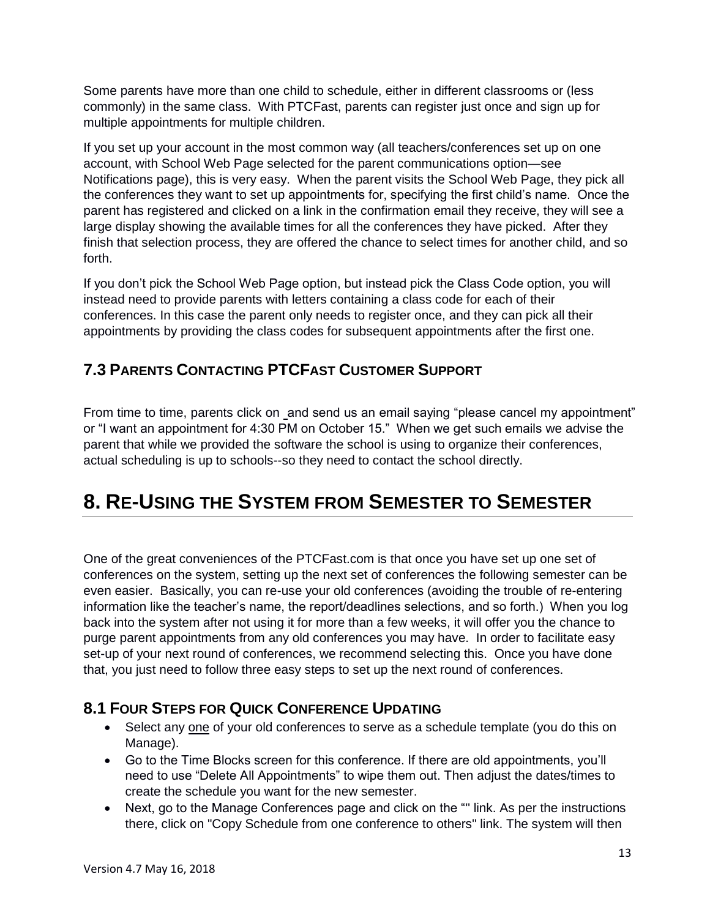Some parents have more than one child to schedule, either in different classrooms or (less commonly) in the same class. With PTCFast, parents can register just once and sign up for multiple appointments for multiple children.

If you set up your account in the most common way (all teachers/conferences set up on one account, with School Web Page selected for the parent communications option—see Notifications page), this is very easy. When the parent visits the School Web Page, they pick all the conferences they want to set up appointments for, specifying the first child's name. Once the parent has registered and clicked on a link in the confirmation email they receive, they will see a large display showing the available times for all the conferences they have picked. After they finish that selection process, they are offered the chance to select times for another child, and so forth.

If you don't pick the School Web Page option, but instead pick the Class Code option, you will instead need to provide parents with letters containing a class code for each of their conferences. In this case the parent only needs to register once, and they can pick all their appointments by providing the class codes for subsequent appointments after the first one.

### <span id="page-12-0"></span>**7.3 PARENTS CONTACTING PTCFAST CUSTOMER SUPPORT**

From time to time, parents click on and send us an email saying "please cancel my appointment" or "I want an appointment for 4:30 PM on October 15." When we get such emails we advise the parent that while we provided the software the school is using to organize their conferences, actual scheduling is up to schools--so they need to contact the school directly.

# <span id="page-12-1"></span>**8. RE-USING THE SYSTEM FROM SEMESTER TO SEMESTER**

One of the great conveniences of the PTCFast.com is that once you have set up one set of conferences on the system, setting up the next set of conferences the following semester can be even easier. Basically, you can re-use your old conferences (avoiding the trouble of re-entering information like the teacher's name, the report/deadlines selections, and so forth.) When you log back into the system after not using it for more than a few weeks, it will offer you the chance to purge parent appointments from any old conferences you may have. In order to facilitate easy set-up of your next round of conferences, we recommend selecting this. Once you have done that, you just need to follow three easy steps to set up the next round of conferences.

### <span id="page-12-2"></span>**8.1 FOUR STEPS FOR QUICK CONFERENCE UPDATING**

- Select any one of your old conferences to serve as a schedule template (you do this on Manage).
- Go to the Time Blocks screen for this conference. If there are old appointments, you'll need to use "Delete All Appointments" to wipe them out. Then adjust the dates/times to create the schedule you want for the new semester.
- Next, go to the Manage Conferences page and click on the "" link. As per the instructions there, click on "Copy Schedule from one conference to others" link. The system will then